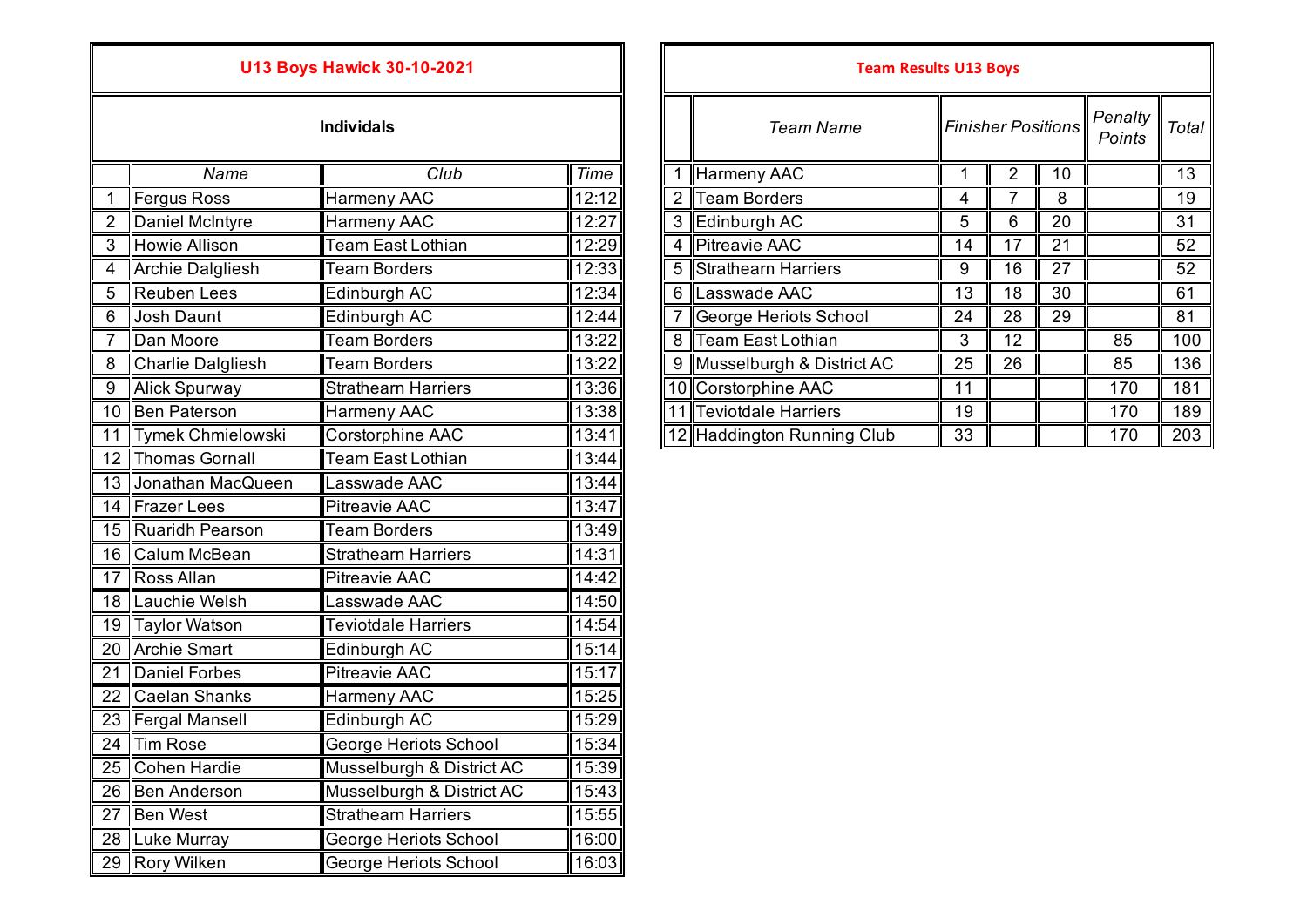## **U13 Boys Hawick 30-10-2021**

|                 | Name                     | Club                       | Time  |
|-----------------|--------------------------|----------------------------|-------|
| 1               | <b>Fergus Ross</b>       | Harmeny AAC                | 12:12 |
| $\overline{2}$  | Daniel McIntyre          | Harmeny AAC                | 12:27 |
| $\overline{3}$  | <b>Howie Allison</b>     | <b>Team East Lothian</b>   | 12:29 |
| 4               | <b>Archie Dalgliesh</b>  | <b>Team Borders</b>        | 12:33 |
| $\overline{5}$  | <b>Reuben Lees</b>       | Edinburgh AC               | 12:34 |
| 6               | Josh Daunt               | Edinburgh AC               | 12:44 |
| $\overline{7}$  | Dan Moore                | <b>Team Borders</b>        | 13:22 |
| 8               | <b>Charlie Dalgliesh</b> | <b>Team Borders</b>        | 13:22 |
| $\overline{9}$  | <b>Alick Spurway</b>     | <b>Strathearn Harriers</b> | 13:36 |
| 10              | <b>Ben Paterson</b>      | <b>Harmeny AAC</b>         | 13:38 |
| 11              | <b>Tymek Chmielowski</b> | Corstorphine AAC           | 13:41 |
| 12              | Thomas Gornall           | Team East Lothian          | 13:44 |
| $\overline{13}$ | Jonathan MacQueen        | Lasswade AAC               | 13:44 |
| $\overline{14}$ | <b>Frazer Lees</b>       | <b>Pitreavie AAC</b>       | 13:47 |
| 15              | <b>Ruaridh Pearson</b>   | <b>Team Borders</b>        | 13:49 |
| 16              | <b>Calum McBean</b>      | <b>Strathearn Harriers</b> | 14:31 |
| 17              | Ross Allan               | <b>Pitreavie AAC</b>       | 14:42 |
| 18              | Lauchie Welsh            | Lasswade AAC               | 14:50 |
| 19              | Taylor Watson            | <b>Teviotdale Harriers</b> | 14:54 |
| 20              | Archie Smart             | Edinburgh AC               | 15:14 |
| $\overline{21}$ | <b>Daniel Forbes</b>     | <b>Pitreavie AAC</b>       | 15:17 |
| 22              | Caelan Shanks            | Harmeny AAC                | 15:25 |
| 23              | Fergal Mansell           | Edinburgh AC               | 15:29 |
| 24              | Tim Rose                 | George Heriots School      | 15:34 |
| 25              | Cohen Hardie             | Musselburgh & District AC  | 15:39 |
| 26              | <b>Ben Anderson</b>      | Musselburgh & District AC  | 15:43 |
| 27              | <b>Ben West</b>          | <b>Strathearn Harriers</b> | 15:55 |
| 28              | Luke Murray              | George Heriots School      | 16:00 |
| 29              | <b>Rory Wilken</b>       | George Heriots School      | 16:03 |

|                |                      | <b>U13 Boys Hawick 30-10-2021</b> |       |                | <b>Team Results U13 Boys</b> |    |                           |    |                   |              |
|----------------|----------------------|-----------------------------------|-------|----------------|------------------------------|----|---------------------------|----|-------------------|--------------|
|                |                      | <b>Individals</b>                 |       |                | Team Name                    |    | <b>Finisher Positions</b> |    | Penalty<br>Points | <b>Total</b> |
|                | Name                 | Club                              | Time  |                | Harmeny AAC                  |    |                           | 10 |                   | 13           |
|                | Fergus Ross          | Harmeny AAC                       | 12:12 | $\overline{2}$ | <b>Team Borders</b>          | 4  |                           | 8  |                   | 19           |
|                | Daniel McIntyre      | Harmeny AAC                       | 12:27 | 3              | Edinburgh AC                 | 5  | 6                         | 20 |                   | 31           |
| 3              | Howie Allison        | <b>Team East Lothian</b>          | 12:29 | 4              | <b>Pitreavie AAC</b>         | 14 | 17                        | 21 |                   | 52           |
| 4              | Archie Dalgliesh     | <b>Team Borders</b>               | 12:33 | 5              | Strathearn Harriers          | 9  | 16                        | 27 |                   | 52           |
| 5              | Reuben Lees          | Edinburgh AC                      | 12:34 | 6              | Lasswade AAC                 | 13 | 18                        | 30 |                   | 61           |
| 6              | Josh Daunt           | Edinburgh AC                      | 12:44 |                | George Heriots School        | 24 | 28                        | 29 |                   | 81           |
| $\overline{7}$ | Dan Moore            | Team Borders                      | 13:22 | 8              | Team East Lothian            | 3  | 12                        |    | 85                | 100          |
| 8              | Charlie Dalgliesh    | Team Borders                      | 13:22 | 9              | Musselburgh & District AC    | 25 | 26                        |    | 85                | 136          |
| 9              | Alick Spurway        | <b>Strathearn Harriers</b>        | 13:36 |                | 10 Corstorphine AAC          | 11 |                           |    | 170               | 181          |
|                | 10 Ben Paterson      | <b>Harmeny AAC</b>                | 13:38 |                | Teviotdale Harriers          | 19 |                           |    | 170               | 189          |
|                | 11 Tymek Chmielowski | Corstorphine AAC                  | 13:41 |                | 12 Haddington Running Club   | 33 |                           |    | 170               | 203          |